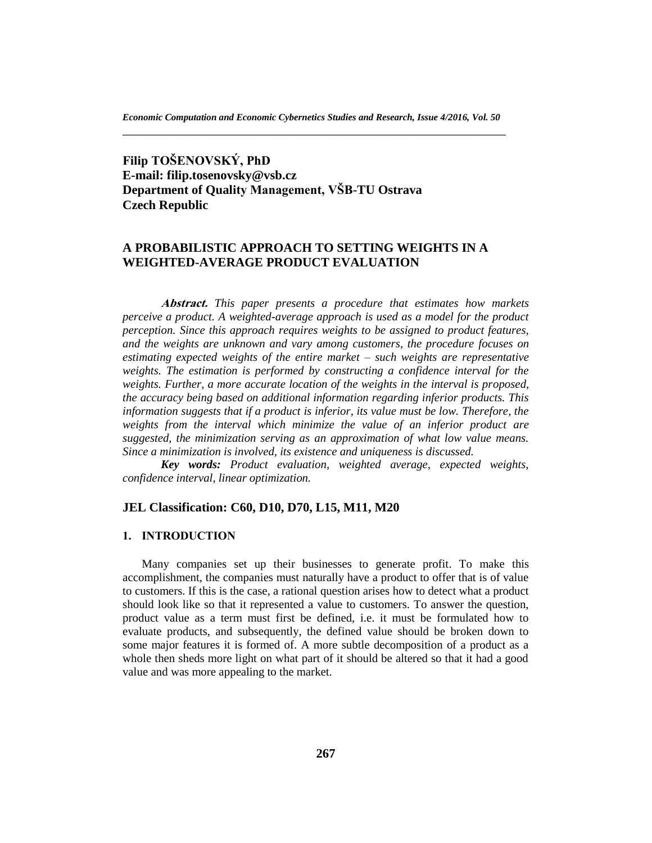**Filip TOŠENOVSKÝ, PhD E-mail: filip.tosenovsky@vsb.cz Department of Quality Management, VŠB-TU Ostrava Czech Republic**

# **A PROBABILISTIC APPROACH TO SETTING WEIGHTS IN A WEIGHTED-AVERAGE PRODUCT EVALUATION**

**Abstract.** *This paper presents a procedure that estimates how markets perceive a product. A weighted-average approach is used as a model for the product perception. Since this approach requires weights to be assigned to product features, and the weights are unknown and vary among customers, the procedure focuses on estimating expected weights of the entire market – such weights are representative weights. The estimation is performed by constructing a confidence interval for the weights. Further, a more accurate location of the weights in the interval is proposed, the accuracy being based on additional information regarding inferior products. This information suggests that if a product is inferior, its value must be low. Therefore, the weights from the interval which minimize the value of an inferior product are suggested, the minimization serving as an approximation of what low value means. Since a minimization is involved, its existence and uniqueness is discussed.* 

*Key words: Product evaluation, weighted average, expected weights, confidence interval, linear optimization.*

## **JEL Classification: C60, D10, D70, L15, M11, M20**

### **1. INTRODUCTION**

Many companies set up their businesses to generate profit. To make this accomplishment, the companies must naturally have a product to offer that is of value to customers. If this is the case, a rational question arises how to detect what a product should look like so that it represented a value to customers. To answer the question, product value as a term must first be defined, i.e. it must be formulated how to evaluate products, and subsequently, the defined value should be broken down to some major features it is formed of. A more subtle decomposition of a product as a whole then sheds more light on what part of it should be altered so that it had a good value and was more appealing to the market.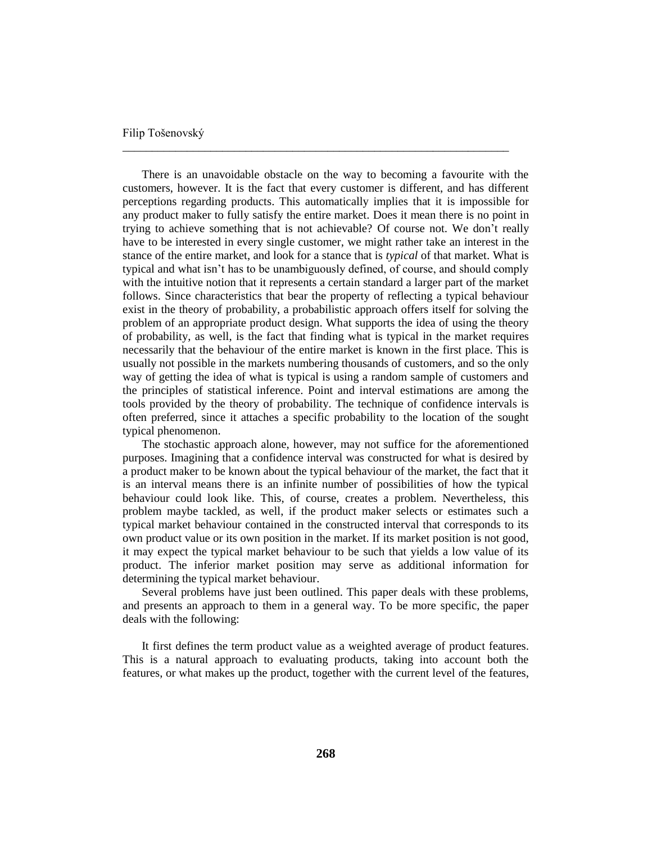There is an unavoidable obstacle on the way to becoming a favourite with the customers, however. It is the fact that every customer is different, and has different perceptions regarding products. This automatically implies that it is impossible for any product maker to fully satisfy the entire market. Does it mean there is no point in trying to achieve something that is not achievable? Of course not. We don't really have to be interested in every single customer, we might rather take an interest in the stance of the entire market, and look for a stance that is *typical* of that market. What is typical and what isn't has to be unambiguously defined, of course, and should comply with the intuitive notion that it represents a certain standard a larger part of the market follows. Since characteristics that bear the property of reflecting a typical behaviour exist in the theory of probability, a probabilistic approach offers itself for solving the problem of an appropriate product design. What supports the idea of using the theory of probability, as well, is the fact that finding what is typical in the market requires necessarily that the behaviour of the entire market is known in the first place. This is usually not possible in the markets numbering thousands of customers, and so the only way of getting the idea of what is typical is using a random sample of customers and the principles of statistical inference. Point and interval estimations are among the tools provided by the theory of probability. The technique of confidence intervals is often preferred, since it attaches a specific probability to the location of the sought typical phenomenon.

\_\_\_\_\_\_\_\_\_\_\_\_\_\_\_\_\_\_\_\_\_\_\_\_\_\_\_\_\_\_\_\_\_\_\_\_\_\_\_\_\_\_\_\_\_\_\_\_\_\_\_\_\_\_\_\_\_\_\_\_\_\_\_\_\_\_

The stochastic approach alone, however, may not suffice for the aforementioned purposes. Imagining that a confidence interval was constructed for what is desired by a product maker to be known about the typical behaviour of the market, the fact that it is an interval means there is an infinite number of possibilities of how the typical behaviour could look like. This, of course, creates a problem. Nevertheless, this problem maybe tackled, as well, if the product maker selects or estimates such a typical market behaviour contained in the constructed interval that corresponds to its own product value or its own position in the market. If its market position is not good, it may expect the typical market behaviour to be such that yields a low value of its product. The inferior market position may serve as additional information for determining the typical market behaviour.

Several problems have just been outlined. This paper deals with these problems, and presents an approach to them in a general way. To be more specific, the paper deals with the following:

It first defines the term product value as a weighted average of product features. This is a natural approach to evaluating products, taking into account both the features, or what makes up the product, together with the current level of the features,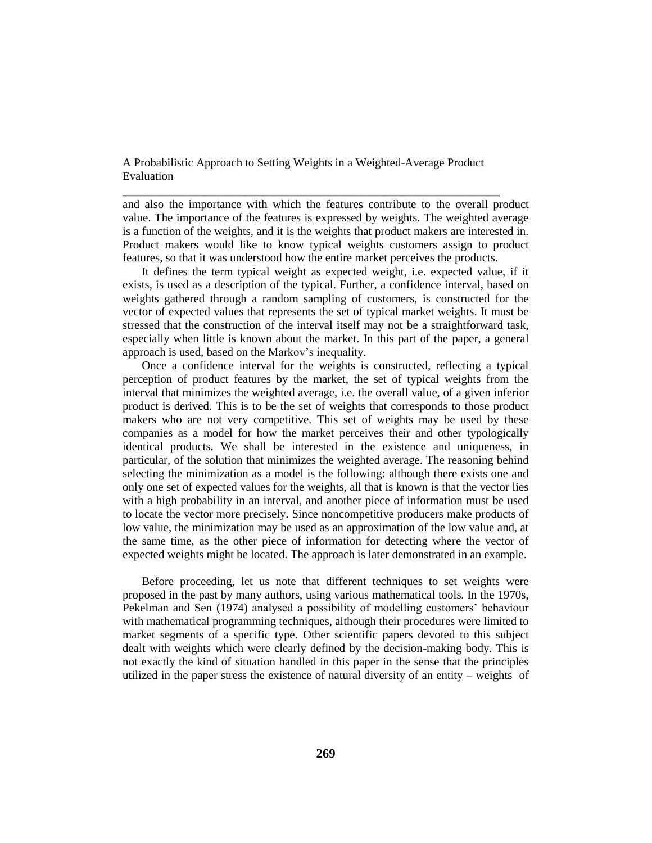**\_\_\_\_\_\_\_\_\_\_\_\_\_\_\_\_\_\_\_\_\_\_\_\_\_\_\_\_\_\_\_\_\_\_\_\_\_\_\_\_\_\_\_\_\_\_\_\_\_\_\_\_\_\_\_\_\_\_\_**

and also the importance with which the features contribute to the overall product value. The importance of the features is expressed by weights. The weighted average is a function of the weights, and it is the weights that product makers are interested in. Product makers would like to know typical weights customers assign to product features, so that it was understood how the entire market perceives the products.

It defines the term typical weight as expected weight, i.e. expected value, if it exists, is used as a description of the typical. Further, a confidence interval, based on weights gathered through a random sampling of customers, is constructed for the vector of expected values that represents the set of typical market weights. It must be stressed that the construction of the interval itself may not be a straightforward task, especially when little is known about the market. In this part of the paper, a general approach is used, based on the Markov's inequality.

Once a confidence interval for the weights is constructed, reflecting a typical perception of product features by the market, the set of typical weights from the interval that minimizes the weighted average, i.e. the overall value, of a given inferior product is derived. This is to be the set of weights that corresponds to those product makers who are not very competitive. This set of weights may be used by these companies as a model for how the market perceives their and other typologically identical products. We shall be interested in the existence and uniqueness, in particular, of the solution that minimizes the weighted average. The reasoning behind selecting the minimization as a model is the following: although there exists one and only one set of expected values for the weights, all that is known is that the vector lies with a high probability in an interval, and another piece of information must be used to locate the vector more precisely. Since noncompetitive producers make products of low value, the minimization may be used as an approximation of the low value and, at the same time, as the other piece of information for detecting where the vector of expected weights might be located. The approach is later demonstrated in an example.

Before proceeding, let us note that different techniques to set weights were proposed in the past by many authors, using various mathematical tools. In the 1970s, Pekelman and Sen (1974) analysed a possibility of modelling customers' behaviour with mathematical programming techniques, although their procedures were limited to market segments of a specific type. Other scientific papers devoted to this subject dealt with weights which were clearly defined by the decision-making body. This is not exactly the kind of situation handled in this paper in the sense that the principles utilized in the paper stress the existence of natural diversity of an entity – weights of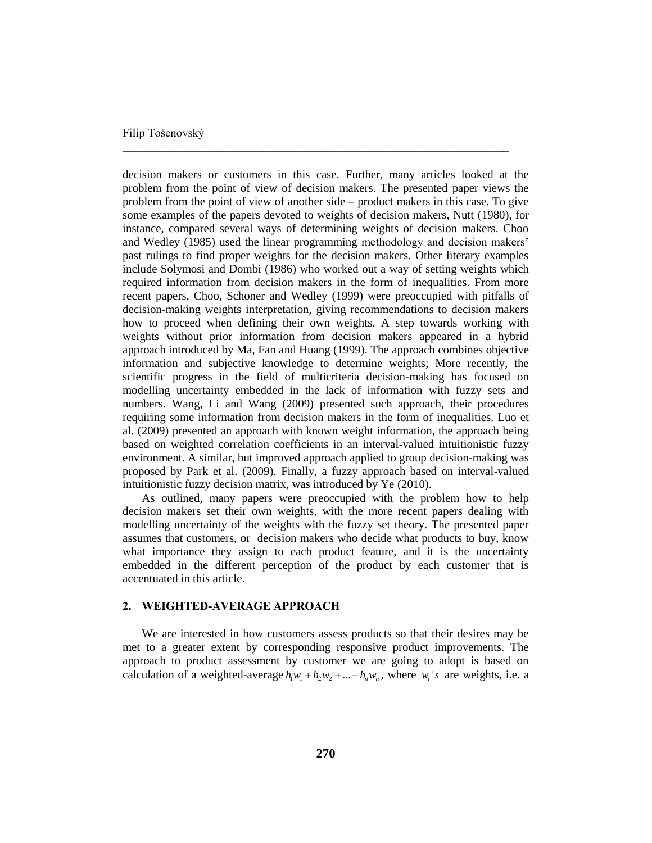decision makers or customers in this case. Further, many articles looked at the problem from the point of view of decision makers. The presented paper views the problem from the point of view of another side – product makers in this case. To give some examples of the papers devoted to weights of decision makers, Nutt (1980), for instance, compared several ways of determining weights of decision makers. Choo and Wedley (1985) used the linear programming methodology and decision makers' past rulings to find proper weights for the decision makers. Other literary examples include Solymosi and Dombi (1986) who worked out a way of setting weights which required information from decision makers in the form of inequalities. From more recent papers, Choo, Schoner and Wedley (1999) were preoccupied with pitfalls of decision-making weights interpretation, giving recommendations to decision makers how to proceed when defining their own weights. A step towards working with weights without prior information from decision makers appeared in a hybrid approach introduced by Ma, Fan and Huang (1999). The approach combines objective information and subjective knowledge to determine weights; More recently, the scientific progress in the field of multicriteria decision-making has focused on modelling uncertainty embedded in the lack of information with fuzzy sets and numbers. Wang, Li and Wang (2009) presented such approach, their procedures requiring some information from decision makers in the form of inequalities. Luo et al. (2009) presented an approach with known weight information, the approach being based on weighted correlation coefficients in an interval-valued intuitionistic fuzzy environment. A similar, but improved approach applied to group decision-making was proposed by Park et al. (2009). Finally, a fuzzy approach based on interval-valued intuitionistic fuzzy decision matrix, was introduced by Ye (2010).

\_\_\_\_\_\_\_\_\_\_\_\_\_\_\_\_\_\_\_\_\_\_\_\_\_\_\_\_\_\_\_\_\_\_\_\_\_\_\_\_\_\_\_\_\_\_\_\_\_\_\_\_\_\_\_\_\_\_\_\_\_\_\_\_\_\_

As outlined, many papers were preoccupied with the problem how to help decision makers set their own weights, with the more recent papers dealing with modelling uncertainty of the weights with the fuzzy set theory. The presented paper assumes that customers, or decision makers who decide what products to buy, know what importance they assign to each product feature, and it is the uncertainty embedded in the different perception of the product by each customer that is accentuated in this article.

# **2. WEIGHTED-AVERAGE APPROACH**

We are interested in how customers assess products so that their desires may be met to a greater extent by corresponding responsive product improvements. The approach to product assessment by customer we are going to adopt is based on calculation of a weighted-average  $h_1w_1 + h_2w_2 + ... + h_nw_n$ , where  $w_i$ 's are weights, i.e. a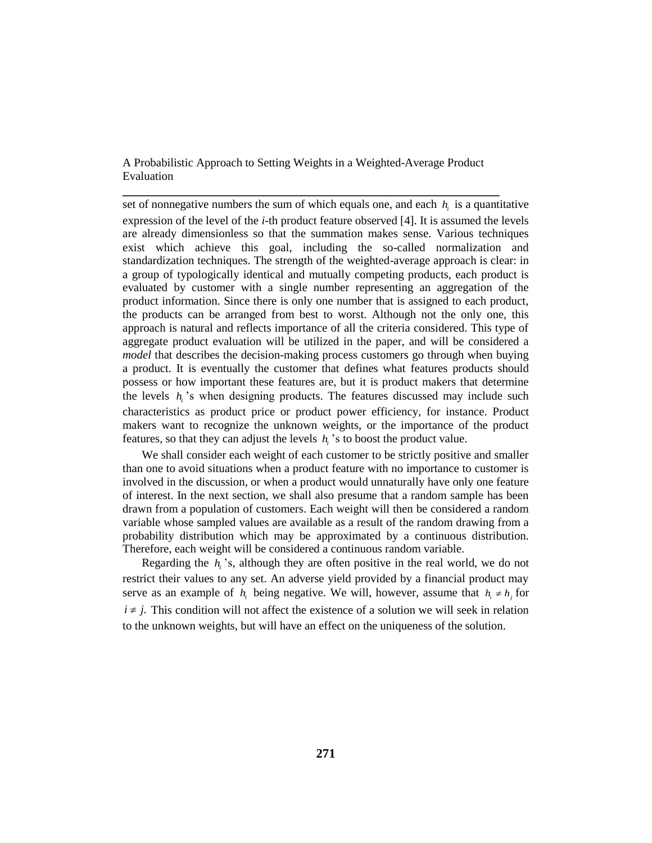**\_\_\_\_\_\_\_\_\_\_\_\_\_\_\_\_\_\_\_\_\_\_\_\_\_\_\_\_\_\_\_\_\_\_\_\_\_\_\_\_\_\_\_\_\_\_\_\_\_\_\_\_\_\_\_\_\_\_\_**

set of nonnegative numbers the sum of which equals one, and each  $h_i$  is a quantitative expression of the level of the *i*-th product feature observed [4]. It is assumed the levels are already dimensionless so that the summation makes sense. Various techniques exist which achieve this goal, including the so-called normalization and standardization techniques. The strength of the weighted-average approach is clear: in a group of typologically identical and mutually competing products, each product is evaluated by customer with a single number representing an aggregation of the product information. Since there is only one number that is assigned to each product, the products can be arranged from best to worst. Although not the only one, this approach is natural and reflects importance of all the criteria considered. This type of aggregate product evaluation will be utilized in the paper, and will be considered a *model* that describes the decision-making process customers go through when buying a product. It is eventually the customer that defines what features products should possess or how important these features are, but it is product makers that determine the levels  $h_i$ 's when designing products. The features discussed may include such characteristics as product price or product power efficiency, for instance. Product makers want to recognize the unknown weights, or the importance of the product features, so that they can adjust the levels  $h_i$  's to boost the product value.

We shall consider each weight of each customer to be strictly positive and smaller than one to avoid situations when a product feature with no importance to customer is involved in the discussion, or when a product would unnaturally have only one feature of interest. In the next section, we shall also presume that a random sample has been drawn from a population of customers. Each weight will then be considered a random variable whose sampled values are available as a result of the random drawing from a probability distribution which may be approximated by a continuous distribution. Therefore, each weight will be considered a continuous random variable.

Regarding the  $h_i$ 's, although they are often positive in the real world, we do not restrict their values to any set. An adverse yield provided by a financial product may serve as an example of  $h_i$  being negative. We will, however, assume that  $h_i \neq h_j$  for  $i \neq j$ . This condition will not affect the existence of a solution we will seek in relation to the unknown weights, but will have an effect on the uniqueness of the solution.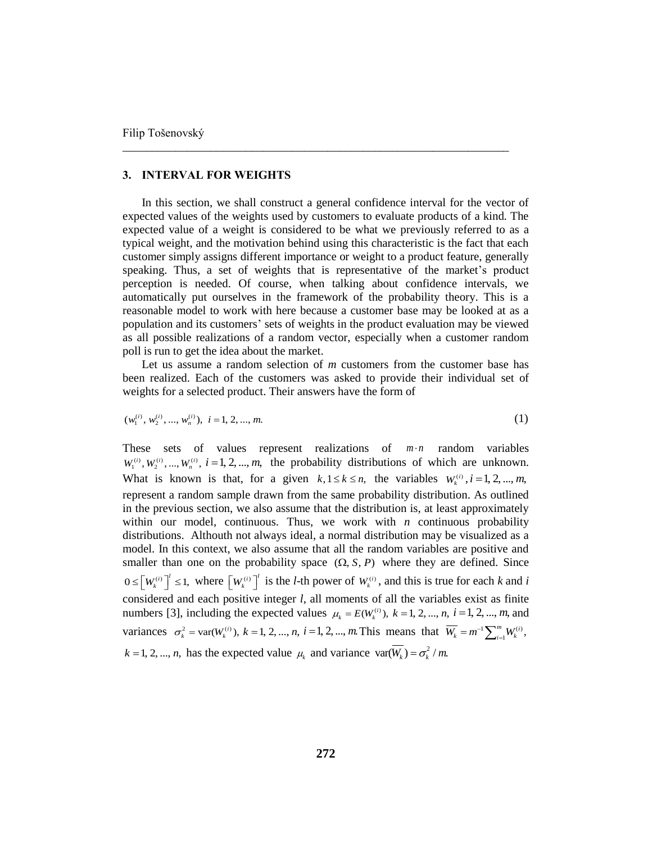## **3. INTERVAL FOR WEIGHTS**

In this section, we shall construct a general confidence interval for the vector of expected values of the weights used by customers to evaluate products of a kind. The expected value of a weight is considered to be what we previously referred to as a typical weight, and the motivation behind using this characteristic is the fact that each customer simply assigns different importance or weight to a product feature, generally speaking. Thus, a set of weights that is representative of the market's product perception is needed. Of course, when talking about confidence intervals, we automatically put ourselves in the framework of the probability theory. This is a reasonable model to work with here because a customer base may be looked at as a population and its customers' sets of weights in the product evaluation may be viewed as all possible realizations of a random vector, especially when a customer random poll is run to get the idea about the market.

\_\_\_\_\_\_\_\_\_\_\_\_\_\_\_\_\_\_\_\_\_\_\_\_\_\_\_\_\_\_\_\_\_\_\_\_\_\_\_\_\_\_\_\_\_\_\_\_\_\_\_\_\_\_\_\_\_\_\_\_\_\_\_\_\_\_

Let us assume a random selection of *m* customers from the customer base has been realized. Each of the customers was asked to provide their individual set of weights for a selected product. Their answers have the form of

$$
(w_1^{(i)}, w_2^{(i)}, ..., w_n^{(i)}), i = 1, 2, ..., m.
$$
 (1)

These sets of values represent realizations of  $m \cdot n$  random variables  $W_1^{(i)}$ ,  $W_2^{(i)}$ , ...,  $W_n^{(i)}$ ,  $i = 1, 2, ..., m$ , the probability distributions of which are unknown. What is known is that, for a given  $k, 1 \le k \le n$ , the variables  $W_k^{(i)}$ ,  $i = 1, 2, ..., m$ , represent a random sample drawn from the same probability distribution. As outlined in the previous section, we also assume that the distribution is, at least approximately within our model, continuous. Thus, we work with  $n$  continuous probability distributions. Althouth not always ideal, a normal distribution may be visualized as a model. In this context, we also assume that all the random variables are positive and smaller than one on the probability space  $(\Omega, S, P)$  where they are defined. Since  $0 \leq [W_k^{(i)}]^{i} \leq 1$ , where  $[W_k^{(i)}]^{i}$  is the *l*-th power of  $W_k^{(i)}$ , and this is true for each *k* and *i* considered and each positive integer *l*, all moments of all the variables exist as finite numbers [3], including the expected values  $\mu_k = E(W_k^{(i)})$ ,  $k = 1, 2, ..., n$ ,  $i = 1, 2, ..., m$ , and variances  $\sigma_k^2 = \text{var}(W_k^{(i)})$ ,  $k = 1, 2, ..., n$ ,  $i = 1, 2, ..., m$ . This means that  $\overline{W_k} = m^{-1} \sum_{i=1}^m W_k^{(i)}$  $\overline{W_k} = m^{-1} \sum_{i=1}^m W_k^{(i)},$ - $= m^{-1} \sum_{i=1}^{m}$  $k = 1, 2, ..., n$ , has the expected value  $\mu_k$  and variance var( $W_k$ ) =  $\sigma_k^2 / m$ .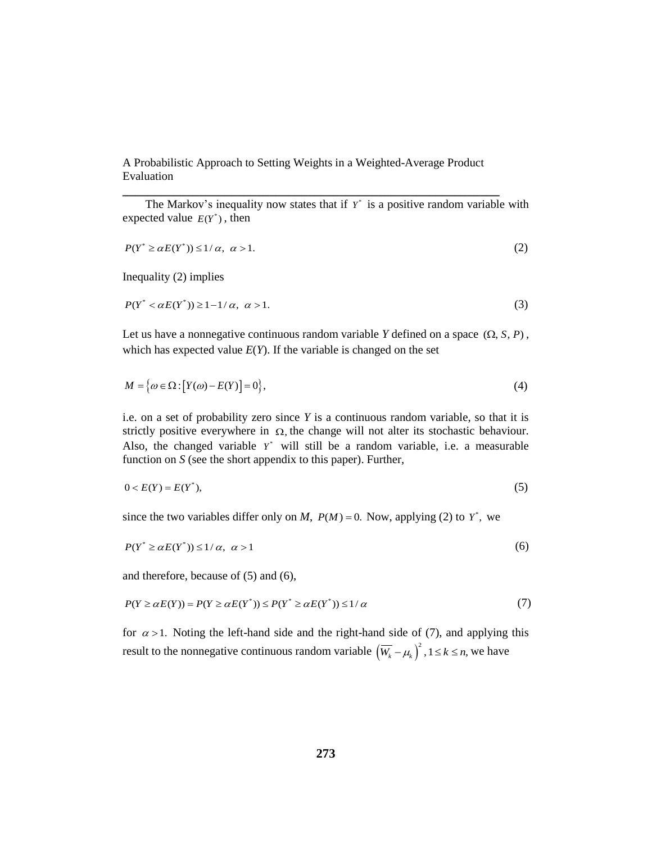**\_\_\_\_\_\_\_\_\_\_\_\_\_\_\_\_\_\_\_\_\_\_\_\_\_\_\_\_\_\_\_\_\_\_\_\_\_\_\_\_\_\_\_\_\_\_\_\_\_\_\_\_\_\_\_\_\_\_\_**

The Markov's inequality now states that if  $Y^*$  is a positive random variable with expected value  $E(Y^*)$ , then

$$
P(Y^* \ge \alpha E(Y^*)) \le 1/\alpha, \ \alpha > 1. \tag{2}
$$

Inequality (2) implies

$$
P(Y^* < \alpha E(Y^*)) \ge 1 - 1/\alpha, \ \alpha > 1. \tag{3}
$$

Let us have a nonnegative continuous random variable Y defined on a space  $(\Omega, S, P)$ , which has expected value  $E(Y)$ . If the variable is changed on the set

$$
M = \{ \omega \in \Omega : [Y(\omega) - E(Y)] = 0 \},\tag{4}
$$

i.e. on a set of probability zero since *Y* is a continuous random variable, so that it is strictly positive everywhere in  $\Omega$ , the change will not alter its stochastic behaviour. Also, the changed variable  $Y^*$  will still be a random variable, i.e. a measurable function on *S* (see the short appendix to this paper). Further,

$$
0 < E(Y) = E(Y^*),\tag{5}
$$

since the two variables differ only on *M*,  $P(M) = 0$ . Now, applying (2) to  $Y^*$ , we

$$
P(Y^* \ge \alpha E(Y^*)) \le 1/\alpha, \ \alpha > 1 \tag{6}
$$

and therefore, because of (5) and (6),

$$
P(Y \ge \alpha E(Y)) = P(Y \ge \alpha E(Y^*)) \le P(Y^* \ge \alpha E(Y^*)) \le 1/\alpha
$$
\n(7)

for  $\alpha > 1$ . Noting the left-hand side and the right-hand side of (7), and applying this result to the nonnegative continuous random variable  $(\overline{W_k} - \mu_k)^2$ ,  $1 \le k \le n$ , we have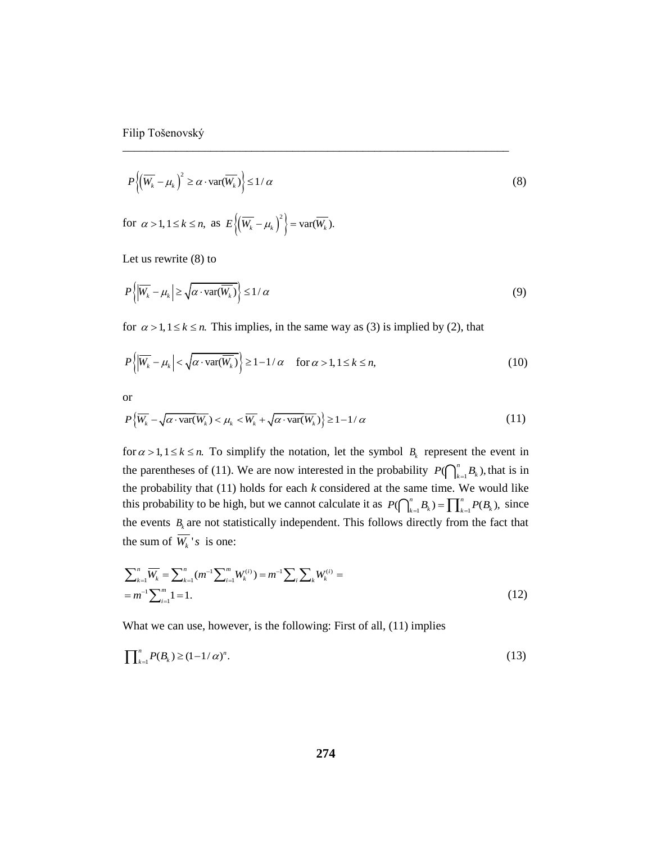$$
P\left\{ \left( \overline{W_k} - \mu_k \right)^2 \ge \alpha \cdot \text{var}(\overline{W_k}) \right\} \le 1/\alpha \tag{8}
$$

\_\_\_\_\_\_\_\_\_\_\_\_\_\_\_\_\_\_\_\_\_\_\_\_\_\_\_\_\_\_\_\_\_\_\_\_\_\_\_\_\_\_\_\_\_\_\_\_\_\_\_\_\_\_\_\_\_\_\_\_\_\_\_\_\_\_

for  $\alpha > 1, 1 \leq k \leq n$ , as  $E\left\{ \left( \overline{W_k} - \mu_k \right)^2 \right\} = \text{var}(\overline{W_k})$ .

Let us rewrite (8) to

$$
P\left\{ \left| \overline{W_k} - \mu_k \right| \ge \sqrt{\alpha \cdot \text{var}(\overline{W_k})} \right\} \le 1/\alpha \tag{9}
$$

for  $\alpha > 1, 1 \le k \le n$ . This implies, in the same way as (3) is implied by (2), that

$$
P\left\{ \left| \overline{W_k} - \mu_k \right| < \sqrt{\alpha \cdot \text{var}(\overline{W_k})} \right\} \ge 1 - 1/\alpha \quad \text{for } \alpha > 1, 1 \le k \le n,\tag{10}
$$

or

or  
\n
$$
P\{\overline{W_k} - \sqrt{\alpha \cdot \text{var}(\overline{W_k})} < \mu_k < \overline{W_k} + \sqrt{\alpha \cdot \text{var}(\overline{W_k})}\} \ge 1 - 1/\alpha \tag{11}
$$

for  $\alpha > 1, 1 \le k \le n$ . To simplify the notation, let the symbol  $B_k$  represent the event in the parentheses of (11). We are now interested in the probability  $P(\bigcap_{k=1}^n B_k)$ , that is in the probability that (11) holds for each *k* considered at the same time. We would like this probability to be high, but we cannot calculate it as  $P(\bigcap_{k=1}^{n} B_k) = \prod_{k=1}^{n} P(B_k)$ , since the events  $B_k$  are not statistically independent. This follows directly from the fact that the sum of  $W_k$ 's is one:

the sum of 
$$
W_k
$$
's is one:  
\n
$$
\sum_{k=1}^{n} \overline{W_k} = \sum_{k=1}^{n} (m^{-1} \sum_{i=1}^{m} W_k^{(i)}) = m^{-1} \sum_{i} \sum_{k} W_k^{(i)} = m^{-1} \sum_{i=1}^{m} 1 = 1.
$$
\n(12)

What we can use, however, is the following: First of all, (11) implies

$$
\prod_{k=1}^{n} P(B_k) \ge (1 - 1/\alpha)^n.
$$
 (13)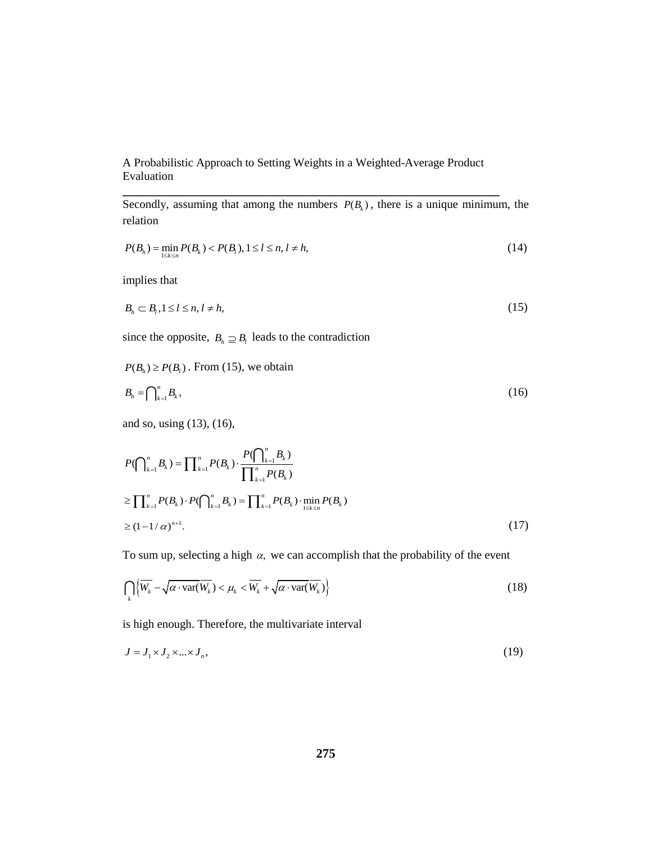**\_\_\_\_\_\_\_\_\_\_\_\_\_\_\_\_\_\_\_\_\_\_\_\_\_\_\_\_\_\_\_\_\_\_\_\_\_\_\_\_\_\_\_\_\_\_\_\_\_\_\_\_\_\_\_\_\_\_\_**

Secondly, assuming that among the numbers  $P(B_k)$ , there is a unique minimum, the relation

$$
P(B_h) = \min_{1 \le k \le n} P(B_k) < P(B_l), \, 1 \le l \le n, \, l \ne h,\tag{14}
$$

implies that

$$
B_h \subset B_l, 1 \le l \le n, l \ne h,\tag{15}
$$

since the opposite,  $B_h \supseteq B_l$  leads to the contradiction

 $P(B_h) \ge P(B_l)$ . From (15), we obtain

$$
B_h = \bigcap_{k=1}^n B_k,\tag{16}
$$

and so, using (13), (16),

$$
P(\bigcap_{k=1}^{n} B_{k}) = \prod_{k=1}^{n} P(B_{k}) \cdot \frac{P(\bigcap_{k=1}^{n} B_{k})}{\prod_{k=1}^{n} P(B_{k})}
$$
  
\n
$$
\geq \prod_{k=1}^{n} P(B_{k}) \cdot P(\bigcap_{k=1}^{n} B_{k}) = \prod_{k=1}^{n} P(B_{k}) \cdot \min_{1 \leq k \leq n} P(B_{k})
$$
  
\n
$$
\geq (1 - 1/\alpha)^{n+1}.
$$
\n(17)

To sum up, selecting a high  $\alpha$ , we can accomplish that the probability of the event

$$
\bigcap_{k} \left\{ \overline{W_k} - \sqrt{\alpha \cdot \text{var}(\overline{W_k})} < \mu_k < \overline{W_k} + \sqrt{\alpha \cdot \text{var}(\overline{W_k})} \right\} \tag{18}
$$

is high enough. Therefore, the multivariate interval

$$
J = J_1 \times J_2 \times \dots \times J_n,\tag{19}
$$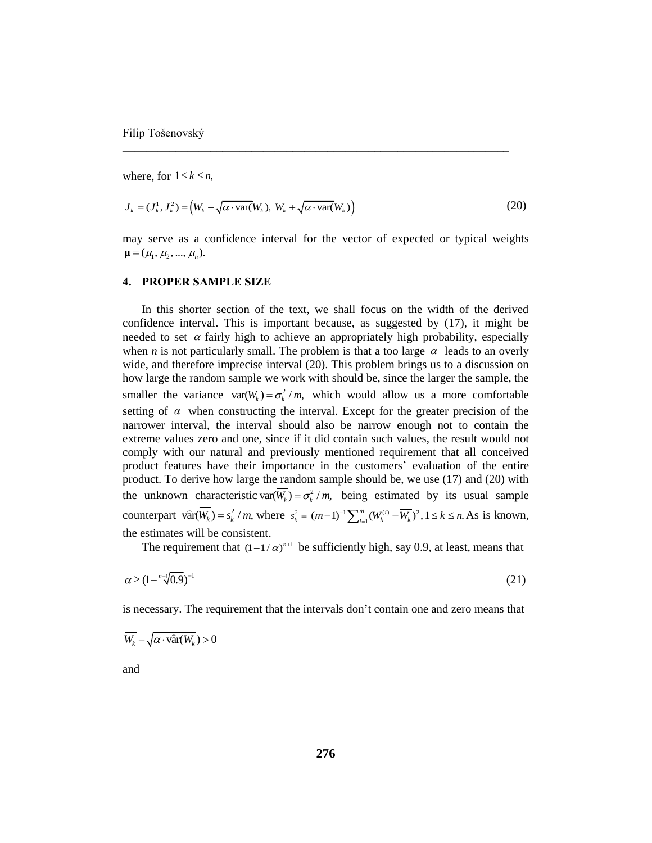where, for  $1 \leq k \leq n$ ,

$$
J_k = (J_k^1, J_k^2) = \left(\overline{W_k} - \sqrt{\alpha \cdot \text{var}(W_k)}, \overline{W_k} + \sqrt{\alpha \cdot \text{var}(W_k)}\right)
$$
(20)

\_\_\_\_\_\_\_\_\_\_\_\_\_\_\_\_\_\_\_\_\_\_\_\_\_\_\_\_\_\_\_\_\_\_\_\_\_\_\_\_\_\_\_\_\_\_\_\_\_\_\_\_\_\_\_\_\_\_\_\_\_\_\_\_\_\_

may serve as a confidence interval for the vector of expected or typical weights  $\mu = (\mu_1, \mu_2, ..., \mu_n).$ 

## **4. PROPER SAMPLE SIZE**

In this shorter section of the text, we shall focus on the width of the derived confidence interval. This is important because, as suggested by (17), it might be needed to set  $\alpha$  fairly high to achieve an appropriately high probability, especially when *n* is not particularly small. The problem is that a too large  $\alpha$  leads to an overly wide, and therefore imprecise interval (20). This problem brings us to a discussion on how large the random sample we work with should be, since the larger the sample, the smaller the variance  $var(\overline{W_k}) = \sigma_k^2 / m$ , which would allow us a more comfortable setting of  $\alpha$  when constructing the interval. Except for the greater precision of the narrower interval, the interval should also be narrow enough not to contain the extreme values zero and one, since if it did contain such values, the result would not comply with our natural and previously mentioned requirement that all conceived product features have their importance in the customers' evaluation of the entire product. To derive how large the random sample should be, we use (17) and (20) with the unknown characteristic var( $W_k$ ) =  $\sigma_k^2$  / *m*, being estimated by its usual sample counterpart  $\widehat{\text{var}}(W_k) = s_k^2 / m$ , where  $s_k^2 = (m-1)^{-1} \sum_{i=1}^m (W_k^{(i)} - \overline{W_k})^2, 1 \le k \le n$ . As is known, the estimates will be consistent.

The requirement that  $(1-1/\alpha)^{n+1}$  be sufficiently high, say 0.9, at least, means that

$$
\alpha \ge (1 - \sqrt[n+1]{0.9})^{-1} \tag{21}
$$

is necessary. The requirement that the intervals don't contain one and zero means that

$$
\overline{W_k} - \sqrt{\alpha \cdot \widehat{\text{var}}(W_k)} > 0
$$

and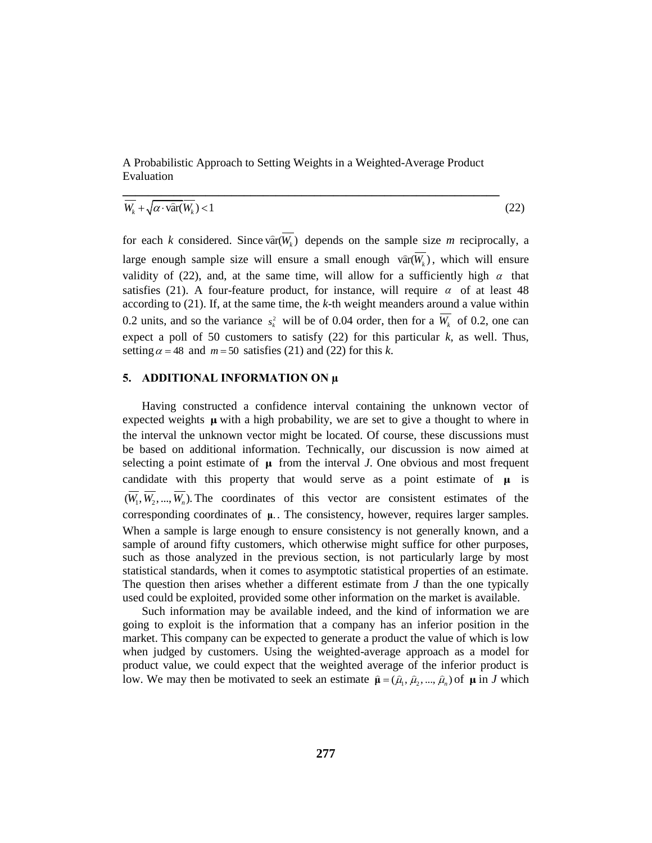$$
\overline{W_k} + \sqrt{\alpha \cdot \widehat{\text{var}}(W_k)} < 1 \tag{22}
$$

for each *k* considered. Since  $\widehat{\text{var}}(W_k)$  depends on the sample size *m* reciprocally, a large enough sample size will ensure a small enough  $\hat{var}(W_k)$ , which will ensure validity of (22), and, at the same time, will allow for a sufficiently high  $\alpha$  that satisfies (21). A four-feature product, for instance, will require  $\alpha$  of at least 48 according to (21). If, at the same time, the *k*-th weight meanders around a value within 0.2 units, and so the variance  $s_k^2$  will be of 0.04 order, then for a  $W_k$  of 0.2, one can expect a poll of 50 customers to satisfy (22) for this particular *k*, as well. Thus, setting  $\alpha = 48$  and  $m = 50$  satisfies (21) and (22) for this *k*.

### **5. ADDITIONAL INFORMATION ON µ**

Having constructed a confidence interval containing the unknown vector of expected weights  $\mu$  with a high probability, we are set to give a thought to where in the interval the unknown vector might be located. Of course, these discussions must be based on additional information. Technically, our discussion is now aimed at selecting a point estimate of  $\mu$  from the interval *J*. One obvious and most frequent candidate with this property that would serve as a point estimate of  $\mu$  is  $(W_1, W_2, ..., W_n)$ . The coordinates of this vector are consistent estimates of the corresponding coordinates of **μ**. . The consistency, however, requires larger samples. When a sample is large enough to ensure consistency is not generally known, and a sample of around fifty customers, which otherwise might suffice for other purposes, such as those analyzed in the previous section, is not particularly large by most statistical standards, when it comes to asymptotic statistical properties of an estimate. The question then arises whether a different estimate from *J* than the one typically used could be exploited, provided some other information on the market is available.

Such information may be available indeed, and the kind of information we are going to exploit is the information that a company has an inferior position in the market. This company can be expected to generate a product the value of which is low when judged by customers. Using the weighted-average approach as a model for product value, we could expect that the weighted average of the inferior product is low. We may then be motivated to seek an estimate  $\hat{\mu} = (\hat{\mu}_1, \hat{\mu}_2, ..., \hat{\mu}_n)$  of  $\mu$  in *J* which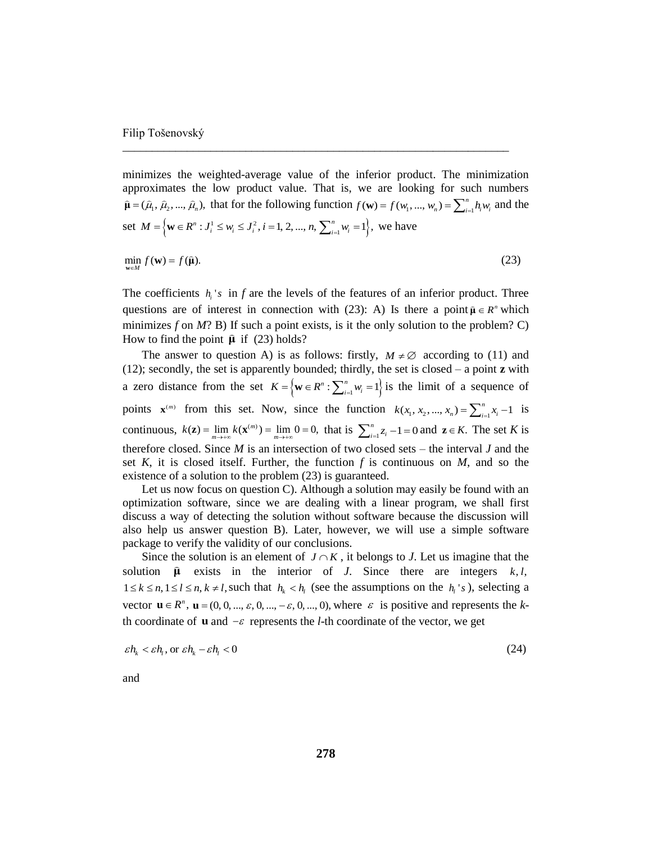minimizes the weighted-average value of the inferior product. The minimization approximates the low product value. That is, we are looking for such numbers  $\hat{\mu} = (\hat{\mu}_1, \hat{\mu}_2, ..., \hat{\mu}_n)$ , that for the following function  $f(\mathbf{w}) = f(w_1, ..., w_n) = \sum_{i=1}^n h_i w_i$  and the  $\hat{\mu} = (\hat{\mu}_1, \hat{\mu}_2, ..., \hat{\mu}_n)$ , that for the following function  $f(\mathbf{w}) = f(w_1, ...$ <br>set  $M = \left\{ \mathbf{w} \in R^n : J_i^1 \le w_i \le J_i^2, i = 1, 2, ..., n, \sum_{i=1}^n w_i = 1 \right\}$ , we have  $\min_{\mathbf{w} \in M} f(\mathbf{w}) = f(\hat{\mathbf{\mu}}).$  (23)

\_\_\_\_\_\_\_\_\_\_\_\_\_\_\_\_\_\_\_\_\_\_\_\_\_\_\_\_\_\_\_\_\_\_\_\_\_\_\_\_\_\_\_\_\_\_\_\_\_\_\_\_\_\_\_\_\_\_\_\_\_\_\_\_\_\_

The coefficients  $h_i$ 's in  $f$  are the levels of the features of an inferior product. Three questions are of interest in connection with (23): A) Is there a point  $\hat{\mu} \in R^n$  which minimizes  $f$  on  $M$ ? B) If such a point exists, is it the only solution to the problem? C) How to find the point  $\hat{\mu}$  if (23) holds?

The answer to question A) is as follows: firstly,  $M \neq \emptyset$  according to (11) and (12); secondly, the set is apparently bounded; thirdly, the set is closed – a point **z** with a zero distance from the set  $K = \{ w \in R^n : \sum_{i=1}^n w_i = 1 \}$  is the limit of a sequence of points  $\mathbf{x}^{(m)}$  from this set. Now, since the function  $k(x_1, x_2, ..., x_n) = \sum_{i=1}^n x_i - 1$  is continuous,  $k(\mathbf{z}) = \lim_{m \to \infty} k(\mathbf{x}^{(m)}) = \lim_{m \to \infty} 0 = 0$ , that is  $\sum_{i=1}^{n} z_i - 1 = 0$  and  $\mathbf{z} \in K$ . The set *K* is therefore closed. Since *M* is an intersection of two closed sets – the interval *J* and the set  $K$ , it is closed itself. Further, the function  $f$  is continuous on  $M$ , and so the existence of a solution to the problem (23) is guaranteed.

Let us now focus on question  $C$ ). Although a solution may easily be found with an optimization software, since we are dealing with a linear program, we shall first discuss a way of detecting the solution without software because the discussion will also help us answer question B). Later, however, we will use a simple software package to verify the validity of our conclusions.

Since the solution is an element of  $J \cap K$ , it belongs to *J*. Let us imagine that the solution  $\hat{\mu}$  exists in the interior of *J*. Since there are integers  $k, l$ ,  $1 \le k \le n, 1 \le l \le n, k \ne l$ , such that  $h_k < h_l$  (see the assumptions on the  $h_l$ 's), selecting a vector  $\mathbf{u} \in R^n$ ,  $\mathbf{u} = (0, 0, ..., \varepsilon, 0, ..., -\varepsilon, 0, ..., 0)$ , where  $\varepsilon$  is positive and represents the *k*th coordinate of  $\bf{u}$  and  $-\varepsilon$  represents the *l*-th coordinate of the vector, we get

$$
\varepsilon h_k < \varepsilon h_l, \text{ or } \varepsilon h_k - \varepsilon h_l < 0 \tag{24}
$$

and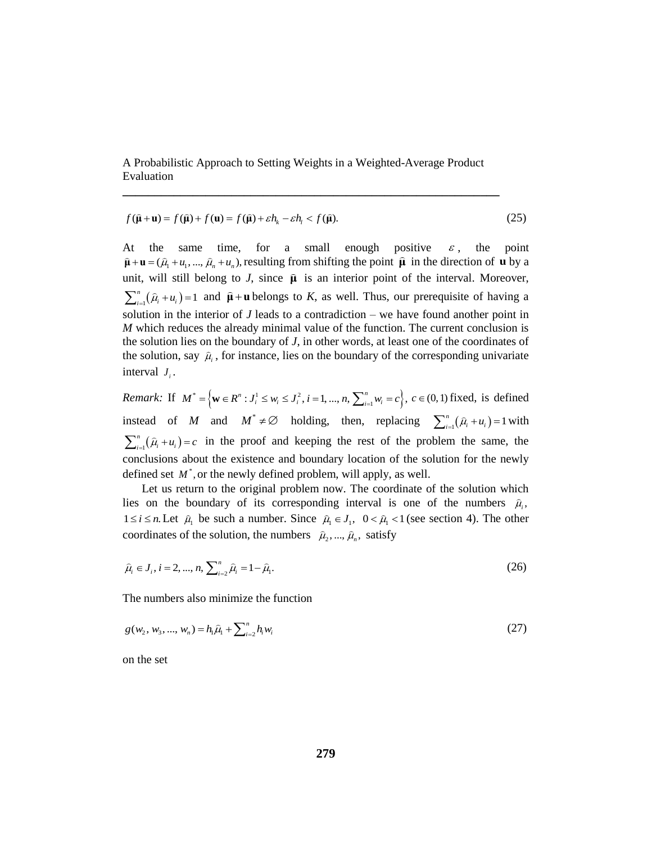**\_\_\_\_\_\_\_\_\_\_\_\_\_\_\_\_\_\_\_\_\_\_\_\_\_\_\_\_\_\_\_\_\_\_\_\_\_\_\_\_\_\_\_\_\_\_\_\_\_\_\_\_\_\_\_\_\_\_\_**

$$
f(\hat{\mathbf{\mu}} + \mathbf{u}) = f(\hat{\mathbf{\mu}}) + f(\mathbf{u}) = f(\hat{\mathbf{\mu}}) + \varepsilon h_k - \varepsilon h_l < f(\hat{\mathbf{\mu}}). \tag{25}
$$

At the same time, for a small enough positive  $\varepsilon$ , the point  $\hat{\mu} + \mathbf{u} = (\hat{\mu}_1 + \hat{\mu}_1, ..., \hat{\mu}_n + \hat{\mu}_n)$ , resulting from shifting the point  $\hat{\mu}$  in the direction of **u** by a unit, will still belong to  $J$ , since  $\hat{\mu}$  is an interior point of the interval. Moreover,  $\prod_{i=1}^{n} (\hat{\mu}_i + u_i) = 1$  $\sum_{i=1}^{n} (\hat{\mu}_i + \mu_i) = 1$  and  $\hat{\mu} + \mathbf{u}$  belongs to *K*, as well. Thus, our prerequisite of having a solution in the interior of *J* leads to a contradiction – we have found another point in *M* which reduces the already minimal value of the function. The current conclusion is the solution lies on the boundary of *J*, in other words, at least one of the coordinates of the solution, say  $\hat{\mu}_i$ , for instance, lies on the boundary of the corresponding univariate interval  $J_i$ .

*Remark:* If  $M^* = \{ \mathbf{w} \in R^n : J_i^1 \le w_i \le J_i^2, i = 1, ..., n, \sum_{i=1}^n w_i = c \}, c \in (0,1) \text{ fixed, is defined}$ instead of *M* and  $M^* \neq \emptyset$  holding, then, replacing  $\sum_{i=1}^{n} (\hat{\mu}_i + u_i) = 1$  $\sum_{i=1}^{n} (\hat{\mu}_i + u_i) = 1$  with  $\int_1(\widehat{\mu}_i+\mu_i)$ *n*  $\sum_{i=1}^{n} (\hat{\mu}_i + u_i) = c$  in the proof and keeping the rest of the problem the same, the conclusions about the existence and boundary location of the solution for the newly defined set  $M^*$ , or the newly defined problem, will apply, as well.

Let us return to the original problem now. The coordinate of the solution which lies on the boundary of its corresponding interval is one of the numbers  $\hat{\mu}_i$ ,  $1 \le i \le n$ . Let  $\hat{\mu}_1$  be such a number. Since  $\hat{\mu}_1 \in J_1$ ,  $0 < \hat{\mu}_1 < 1$  (see section 4). The other coordinates of the solution, the numbers  $\hat{\mu}_2, ..., \hat{\mu}_n$ , satisfy

$$
\hat{\mu}_i \in J_i, i = 2, ..., n, \sum_{i=2}^n \hat{\mu}_i = 1 - \hat{\mu}_1.
$$
\n(26)

The numbers also minimize the function

$$
g(w_2, w_3, ..., w_n) = h_1 \hat{\mu}_1 + \sum_{i=2}^n h_i w_i
$$
\n(27)

on the set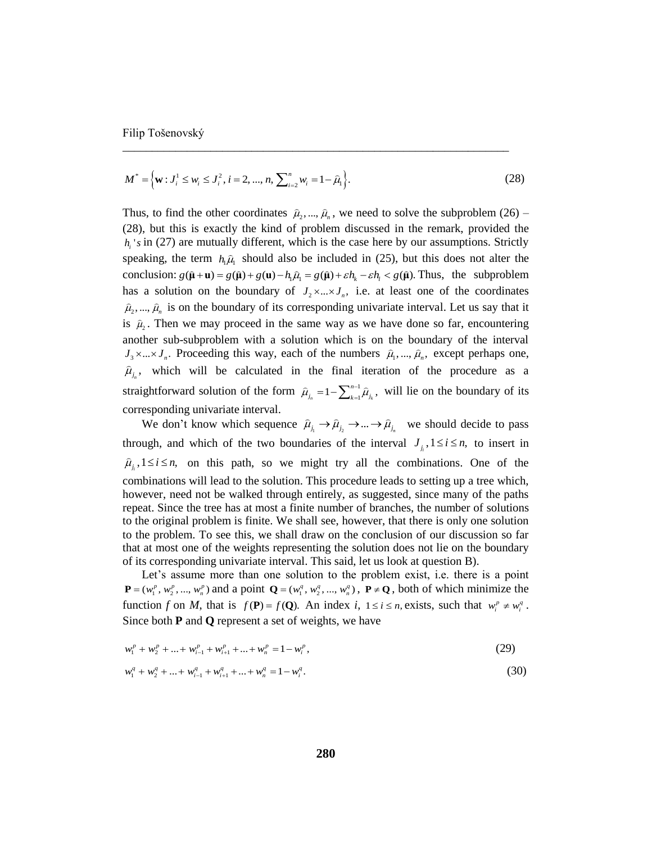$$
M^* = \left\{ \mathbf{w} : J_i^1 \le w_i \le J_i^2, i = 2, ..., n, \sum_{i=2}^n w_i = 1 - \widehat{\mu}_1 \right\}.
$$
 (28)

\_\_\_\_\_\_\_\_\_\_\_\_\_\_\_\_\_\_\_\_\_\_\_\_\_\_\_\_\_\_\_\_\_\_\_\_\_\_\_\_\_\_\_\_\_\_\_\_\_\_\_\_\_\_\_\_\_\_\_\_\_\_\_\_\_\_

Thus, to find the other coordinates  $\hat{\mu}_2, ..., \hat{\mu}_n$ , we need to solve the subproblem (26) – (28), but this is exactly the kind of problem discussed in the remark, provided the  $h_i$ 's in (27) are mutually different, which is the case here by our assumptions. Strictly speaking, the term  $h_1\hat{\mu}_1$  should also be included in (25), but this does not alter the speaking, the term  $h_1\hat{\mu}_1$  should also be included in (25), but this does not alter the conclusion:  $g(\hat{\mu} + \mathbf{u}) = g(\hat{\mu}) + g(\mathbf{u}) - h_1\hat{\mu}_1 = g(\hat{\mu}) + \varepsilon h_k - \varepsilon h_1 < g(\hat{\mu})$ . Thus, the subproblem has a solution on the boundary of  $J_2 \times ... \times J_n$ , i.e. at least one of the coordinates  $\hat{\mu}_2, ..., \hat{\mu}_n$  is on the boundary of its corresponding univariate interval. Let us say that it is  $\hat{\mu}_2$ . Then we may proceed in the same way as we have done so far, encountering another sub-subproblem with a solution which is on the boundary of the interval  $J_3 \times ... \times J_n$ . Proceeding this way, each of the numbers  $\hat{\mu}_1, ..., \hat{\mu}_n$ , except perhaps one,  $\hat{\mu}_{j_n}$ , which will be calculated in the final iteration of the procedure as a straightforward solution of the form  $\hat{\mu}_i = 1 - \sum_{i=1}^{n-1}$  $\hat{\mu}_n = 1 - \sum\nolimits_{k = 1}^{n - 1} {{{\widehat {\mu} }_{{j_k}}}}\,,$ *n*  $\widehat{\mu}_{_{j_n}} = 1 - \sum\nolimits_{k = 1}^{n - 1}\widehat{\mu}_{_{j_k}}$  $=1-\sum_{k=1}^{n-1} \hat{\mu}_{j_k}$ , will lie on the boundary of its corresponding univariate interval.

We don't know which sequence  $\hat{\mu}_{j_1} \to \hat{\mu}_{j_2} \to ... \to \hat{\mu}_{j_n}$  we should decide to pass through, and which of the two boundaries of the interval  $J_{i}$ ,  $1 \le i \le n$ , to insert in  $\hat{\mu}_i, 1 \le i \le n$ , on this path, so we might try all the combinations. One of the combinations will lead to the solution. This procedure leads to setting up a tree which, however, need not be walked through entirely, as suggested, since many of the paths repeat. Since the tree has at most a finite number of branches, the number of solutions to the original problem is finite. We shall see, however, that there is only one solution to the problem. To see this, we shall draw on the conclusion of our discussion so far that at most one of the weights representing the solution does not lie on the boundary of its corresponding univariate interval. This said, let us look at question B).

Let's assume more than one solution to the problem exist, i.e. there is a point  $P = (w_1^p, w_2^p, ..., w_n^p)$  and a point  $Q = (w_1^q, w_2^q, ..., w_n^q)$ ,  $P \neq Q$ , both of which minimize the function *f* on *M*, that is  $f(P) = f(Q)$ . An index *i*,  $1 \le i \le n$ , exists, such that  $w_i^p \ne w_i^q$ . Since both **P** and **Q** represent a set of weights, we have

$$
w_1^p + w_2^p + \dots + w_{i-1}^p + w_{i+1}^p + \dots + w_n^p = 1 - w_i^p,
$$
\n(29)

$$
w_1^q + w_2^q + \dots + w_{i-1}^q + w_{i+1}^q + \dots + w_n^q = 1 - w_i^q.
$$
 (30)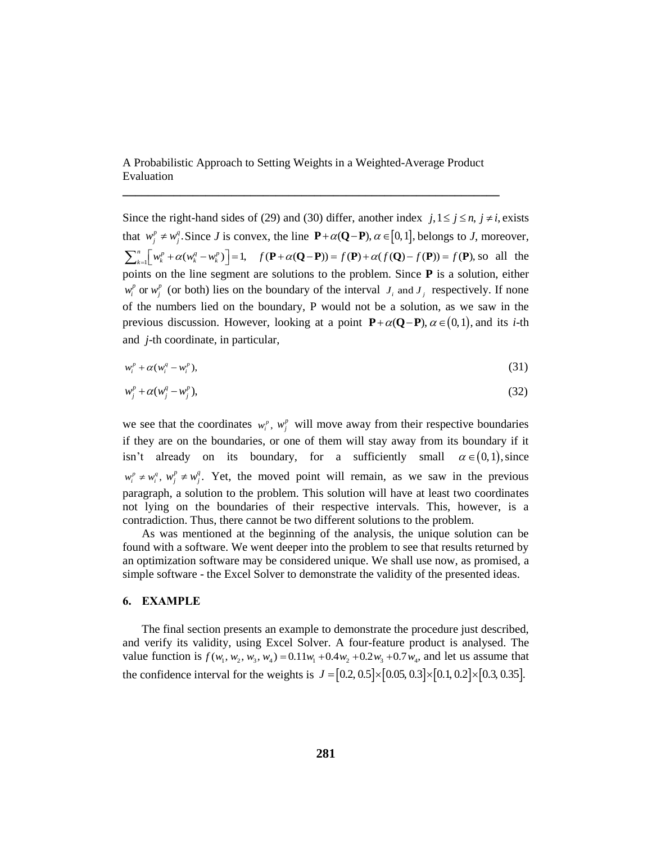A Probabilistic Approach to Setting Weights in a Weighted-Average Product Evaluation

**\_\_\_\_\_\_\_\_\_\_\_\_\_\_\_\_\_\_\_\_\_\_\_\_\_\_\_\_\_\_\_\_\_\_\_\_\_\_\_\_\_\_\_\_\_\_\_\_\_\_\_\_\_\_\_\_\_\_\_**

Since the right-hand sides of (29) and (30) differ, another index  $j, 1 \le j \le n, j \ne i$ , exists that  $w_j^p \neq w_j^q$ . Since *J* is convex, the line  $\mathbf{P} + \alpha(\mathbf{Q} - \mathbf{P})$ ,  $\alpha \in [0,1]$ , belongs to *J*, moreover, that  $w_j^p \neq w_j^q$ . Since *J* is convex, the line  $\mathbf{P} + \alpha(\mathbf{Q} - \mathbf{P})$ ,  $\alpha \in [0, 1]$ , belongs to *J*, moreover,<br> $\sum_{k=1}^n \left[w_k^p + \alpha(w_k^q - w_k^p)\right] = 1$ ,  $f(\mathbf{P} + \alpha(\mathbf{Q} - \mathbf{P})) = f(\mathbf{P}) + \alpha(f(\mathbf{Q}) - f(\mathbf{P})) = f(\mathbf{P})$ , so all points on the line segment are solutions to the problem. Since **P** is a solution, either  $w_i^p$  or  $w_j^p$  (or both) lies on the boundary of the interval  $J_i$  and  $J_j$  respectively. If none of the numbers lied on the boundary, P would not be a solution, as we saw in the previous discussion. However, looking at a point  $P + \alpha(Q - P)$ ,  $\alpha \in (0,1)$ , and its *i*-th and *j*-th coordinate, in particular,

$$
w_i^p + \alpha (w_i^q - w_i^p), \tag{31}
$$

$$
w_j^p + \alpha (w_j^q - w_j^p), \tag{32}
$$

we see that the coordinates  $w_i^p$ ,  $w_j^p$  will move away from their respective boundaries if they are on the boundaries, or one of them will stay away from its boundary if it isn't already on its boundary, for a sufficiently small  $\alpha \in (0,1)$ , since  $w_i^p \neq w_i^q$ ,  $w_j^p \neq w_j^q$ . Yet, the moved point will remain, as we saw in the previous paragraph, a solution to the problem. This solution will have at least two coordinates not lying on the boundaries of their respective intervals. This, however, is a contradiction. Thus, there cannot be two different solutions to the problem.

As was mentioned at the beginning of the analysis, the unique solution can be found with a software. We went deeper into the problem to see that results returned by an optimization software may be considered unique. We shall use now, as promised, a simple software - the Excel Solver to demonstrate the validity of the presented ideas.

#### **6. EXAMPLE**

The final section presents an example to demonstrate the procedure just described, and verify its validity, using Excel Solver. A four-feature product is analysed. The and verify its validity, using Excel Solver. A four-feature product is analysed. The value function is  $f(w_1, w_2, w_3, w_4) = 0.11w_1 + 0.4w_2 + 0.2w_3 + 0.7w_4$ , and let us assume that value function is  $f(w_1, w_2, w_3, w_4) = 0.11w_1 + 0.4w_2 + 0.2w_3 + 0.7w_4$ , and let us assume that<br>the confidence interval for the weights is  $J = [0.2, 0.5] \times [0.05, 0.3] \times [0.1, 0.2] \times [0.3, 0.35]$ .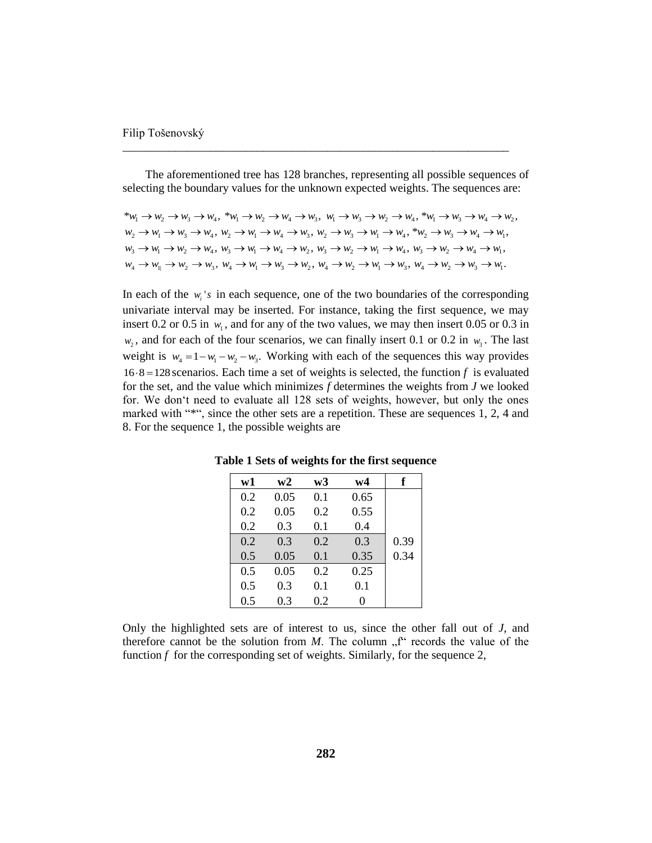The aforementioned tree has 128 branches, representing all possible sequences of selecting the boundary values for the unknown expected weights. The sequences are:

\_\_\_\_\_\_\_\_\_\_\_\_\_\_\_\_\_\_\_\_\_\_\_\_\_\_\_\_\_\_\_\_\_\_\_\_\_\_\_\_\_\_\_\_\_\_\_\_\_\_\_\_\_\_\_\_\_\_\_\_\_\_\_\_\_\_

```
*w_1 \rightarrow w_2 \rightarrow w_3 \rightarrow w_4, *w_1 \rightarrow w_2 \rightarrow w_4 \rightarrow w_3, w_1 \rightarrow w_3 \rightarrow w_2 \rightarrow w_4, *w_1 \rightarrow w_3 \rightarrow w_4 \rightarrow w_2,
w_2 \rightarrow w_1 \rightarrow w_3 \rightarrow w_4, w_2 \rightarrow w_1 \rightarrow w_4 \rightarrow w_3, w_2 \rightarrow w_3 \rightarrow w_1 \rightarrow w_4, ^*w_2 \rightarrow w_3 \rightarrow w_4 \rightarrow w_1,
w_3 \rightarrow w_1 \rightarrow w_2 \rightarrow w_4, w_3 \rightarrow w_1 \rightarrow w_4 \rightarrow w_2, w_3 \rightarrow w_2 \rightarrow w_1 \rightarrow w_4, w_3 \rightarrow w_2 \rightarrow w_4 \rightarrow w_1w_4 \rightarrow w_1 \rightarrow w_2 \rightarrow w_3, w_4 \rightarrow w_1 \rightarrow w_3 \rightarrow w_2, w_4 \rightarrow w_2 \rightarrow w_1 \rightarrow w_3, w_4 \rightarrow w_2 \rightarrow w_3 \rightarrow w_1.
```
In each of the  $w_i$ 's in each sequence, one of the two boundaries of the corresponding univariate interval may be inserted. For instance, taking the first sequence, we may insert 0.2 or 0.5 in  $w_1$ , and for any of the two values, we may then insert 0.05 or 0.3 in  $w_2$ , and for each of the four scenarios, we can finally insert 0.1 or 0.2 in  $w_3$ . The last weight is  $w_4 = 1 - w_1 - w_2 - w_3$ . Working with each of the sequences this way provides  $16.8 = 128$  scenarios. Each time a set of weights is selected, the function *f* is evaluated for the set, and the value which minimizes *f* determines the weights from *J* we looked for. We don't need to evaluate all 128 sets of weights, however, but only the ones marked with "\*", since the other sets are a repetition. These are sequences 1, 2, 4 and 8. For the sequence 1, the possible weights are

| w1  | w2   | w3  | w4   | f    |
|-----|------|-----|------|------|
| 0.2 | 0.05 | 0.1 | 0.65 |      |
| 0.2 | 0.05 | 0.2 | 0.55 |      |
| 0.2 | 0.3  | 0.1 | 0.4  |      |
| 0.2 | 0.3  | 0.2 | 0.3  | 0.39 |
| 0.5 | 0.05 | 0.1 | 0.35 | 0.34 |
| 0.5 | 0.05 | 0.2 | 0.25 |      |
| 0.5 | 0.3  | 0.1 | 0.1  |      |
| 0.5 | 0.3  | 0.2 | 0    |      |

**Table 1 Sets of weights for the first sequence**

Only the highlighted sets are of interest to us, since the other fall out of *J*, and therefore cannot be the solution from  $M$ . The column  $\Lambda$ <sup>r'</sup> records the value of the function *f* for the corresponding set of weights. Similarly, for the sequence 2,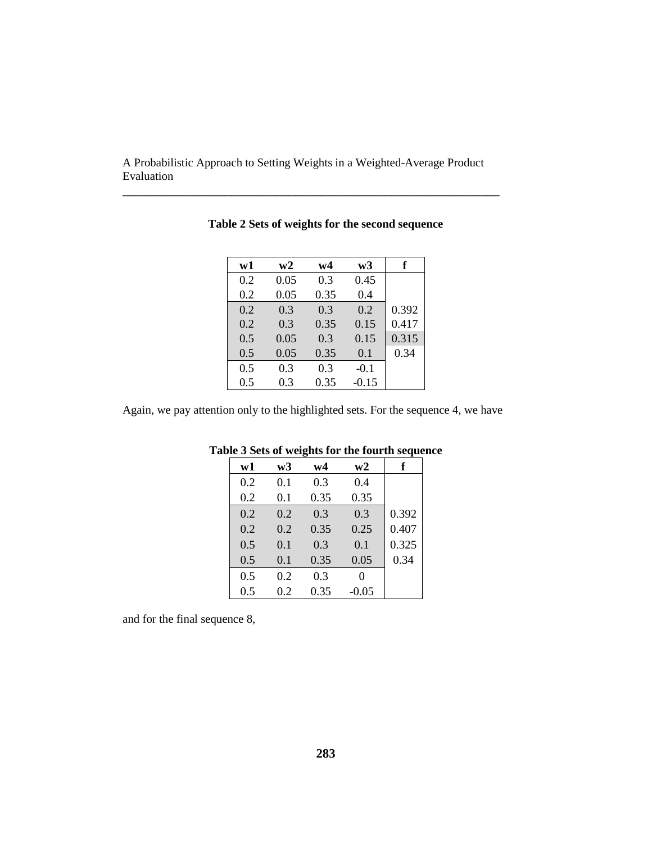**\_\_\_\_\_\_\_\_\_\_\_\_\_\_\_\_\_\_\_\_\_\_\_\_\_\_\_\_\_\_\_\_\_\_\_\_\_\_\_\_\_\_\_\_\_\_\_\_\_\_\_\_\_\_\_\_\_\_\_**

| w1  | w2   | w4   | w3      | f     |
|-----|------|------|---------|-------|
| 0.2 | 0.05 | 0.3  | 0.45    |       |
| 0.2 | 0.05 | 0.35 | 0.4     |       |
| 0.2 | 0.3  | 0.3  | 0.2     | 0.392 |
| 0.2 | 0.3  | 0.35 | 0.15    | 0.417 |
| 0.5 | 0.05 | 0.3  | 0.15    | 0.315 |
| 0.5 | 0.05 | 0.35 | 0.1     | 0.34  |
| 0.5 | 0.3  | 0.3  | $-0.1$  |       |
| 0.5 | 0.3  | 0.35 | $-0.15$ |       |

**Table 2 Sets of weights for the second sequence**

Again, we pay attention only to the highlighted sets. For the sequence 4, we have

| w1  | w3  | w4   | w2      | f     |
|-----|-----|------|---------|-------|
| 0.2 | 0.1 | 0.3  | 0.4     |       |
| 0.2 | 0.1 | 0.35 | 0.35    |       |
| 0.2 | 0.2 | 0.3  | 0.3     | 0.392 |
| 0.2 | 0.2 | 0.35 | 0.25    | 0.407 |
| 0.5 | 0.1 | 0.3  | 0.1     | 0.325 |
| 0.5 | 0.1 | 0.35 | 0.05    | 0.34  |
| 0.5 | 0.2 | 0.3  | 0       |       |
| 0.5 | 0.2 | 0.35 | $-0.05$ |       |

# **Table 3 Sets of weights for the fourth sequence**

and for the final sequence 8,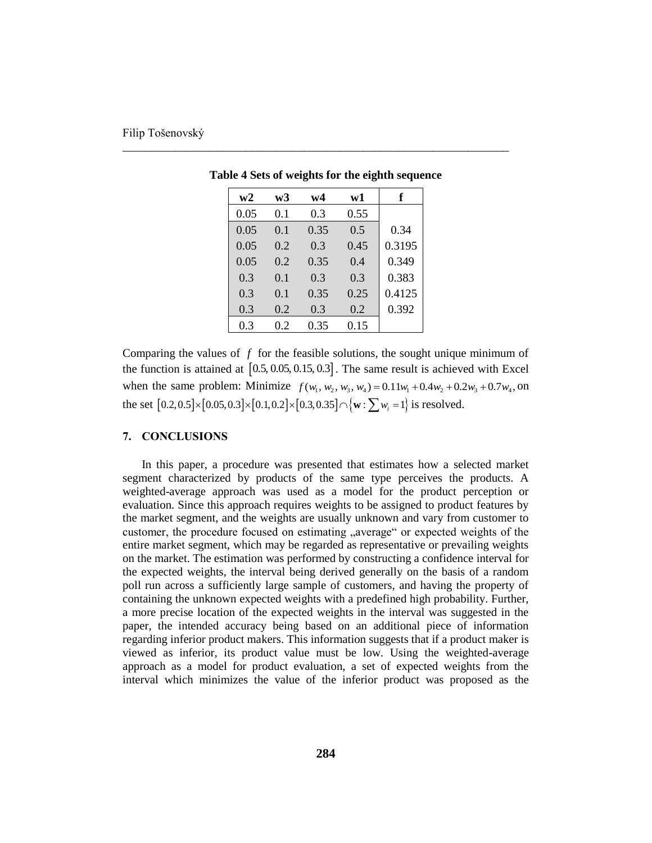| w2   | w3  | w4   | w1   | f      |
|------|-----|------|------|--------|
| 0.05 | 0.1 | 0.3  | 0.55 |        |
| 0.05 | 0.1 | 0.35 | 0.5  | 0.34   |
| 0.05 | 0.2 | 0.3  | 0.45 | 0.3195 |
| 0.05 | 0.2 | 0.35 | 0.4  | 0.349  |
| 0.3  | 0.1 | 0.3  | 0.3  | 0.383  |
| 0.3  | 0.1 | 0.35 | 0.25 | 0.4125 |
| 0.3  | 0.2 | 0.3  | 0.2  | 0.392  |
| 0.3  | 0.2 | 0.35 | 0.15 |        |

**Table 4 Sets of weights for the eighth sequence**

\_\_\_\_\_\_\_\_\_\_\_\_\_\_\_\_\_\_\_\_\_\_\_\_\_\_\_\_\_\_\_\_\_\_\_\_\_\_\_\_\_\_\_\_\_\_\_\_\_\_\_\_\_\_\_\_\_\_\_\_\_\_\_\_\_\_

Comparing the values of *f* for the feasible solutions, the sought unique minimum of the function is attained at  $[0.5, 0.05, 0.15, 0.3]$ . The same result is achieved with Excel the function is attained at  $[0.5, 0.05, 0.15, 0.3]$ . The same result is achieved with Excel<br>when the same problem: Minimize  $f(w_1, w_2, w_3, w_4) = 0.11w_1 + 0.4w_2 + 0.2w_3 + 0.7w_4$ , on when the same problem: Minimize  $f(w_1, w_2, w_3, w_4) = 0.11w_1 + 0.4w_2 + 0.2$ <br>the set  $[0.2, 0.5] \times [0.05, 0.3] \times [0.1, 0.2] \times [0.3, 0.35] \cap \{\mathbf{w} : \sum w_i = 1\}$  is resolved.

#### **7. CONCLUSIONS**

In this paper, a procedure was presented that estimates how a selected market segment characterized by products of the same type perceives the products. A weighted-average approach was used as a model for the product perception or evaluation. Since this approach requires weights to be assigned to product features by the market segment, and the weights are usually unknown and vary from customer to customer, the procedure focused on estimating "average" or expected weights of the entire market segment, which may be regarded as representative or prevailing weights on the market. The estimation was performed by constructing a confidence interval for the expected weights, the interval being derived generally on the basis of a random poll run across a sufficiently large sample of customers, and having the property of containing the unknown expected weights with a predefined high probability. Further, a more precise location of the expected weights in the interval was suggested in the paper, the intended accuracy being based on an additional piece of information regarding inferior product makers. This information suggests that if a product maker is viewed as inferior, its product value must be low. Using the weighted-average approach as a model for product evaluation, a set of expected weights from the interval which minimizes the value of the inferior product was proposed as the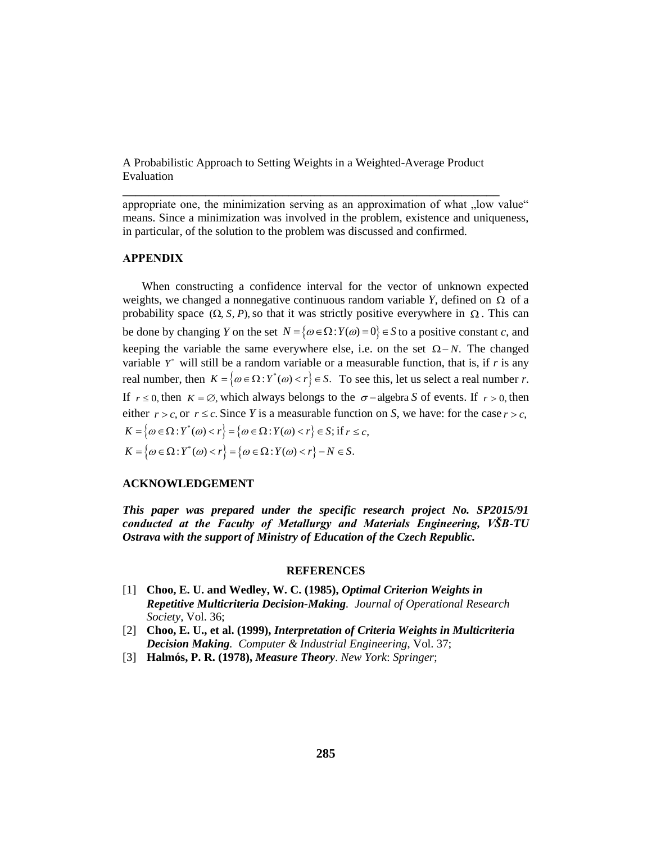**\_\_\_\_\_\_\_\_\_\_\_\_\_\_\_\_\_\_\_\_\_\_\_\_\_\_\_\_\_\_\_\_\_\_\_\_\_\_\_\_\_\_\_\_\_\_\_\_\_\_\_\_\_\_\_\_\_\_\_**

appropriate one, the minimization serving as an approximation of what "low value" means. Since a minimization was involved in the problem, existence and uniqueness, in particular, of the solution to the problem was discussed and confirmed.

## **APPENDIX**

When constructing a confidence interval for the vector of unknown expected weights, we changed a nonnegative continuous random variable  $Y$ , defined on  $\Omega$  of a probability space  $(\Omega, S, P)$ , so that it was strictly positive everywhere in  $\Omega$ . This can be done by changing *Y* on the set  $N = \{ \omega \in \Omega : Y(\omega) = 0 \} \in S$  to a positive constant *c*, and keeping the variable the same everywhere else, i.e. on the set  $\Omega - N$ . The changed variable  $Y^*$  will still be a random variable or a measurable function, that is, if  $r$  is any real number, then  $K = \{ \omega \in \Omega : Y^*(\omega) < r \} \in S$ . To see this, let us select a real number *r*. If  $r \le 0$ , then  $K = \emptyset$ , which always belongs to the  $\sigma$ -algebra S of events. If  $r > 0$ , then either  $r > c$ , or  $r \leq c$ . Since *Y* is a measurable function on *S*, we have: for the case  $r > c$ , where  $r > c$ , or  $r \leq c$ . Since Y is a measurable function<br>  $K = \{ \omega \in \Omega : Y^*(\omega) < r \} = \{ \omega \in \Omega : Y(\omega) < r \} \in S$ ; if  $r \leq c$ ,  $K = \{ \omega \in \Omega : Y(\omega) < r \} = \{ \omega \in \Omega : Y(\omega) < r \} \in S;$  if  $r \leq c$ ,<br>  $K = \{ \omega \in \Omega : Y^*(\omega) < r \} = \{ \omega \in \Omega : Y(\omega) < r \} - N \in S.$ 

### **ACKNOWLEDGEMENT**

*This paper was prepared under the specific research project No. SP2015/91 conducted at the Faculty of Metallurgy and Materials Engineering, VŠB-TU Ostrava with the support of Ministry of Education of the Czech Republic.*

#### **REFERENCES**

- [1] **Choo, E. U. and Wedley, W. C. (1985),** *Optimal Criterion Weights in Repetitive Multicriteria Decision-Making. Journal of Operational Research Society*, Vol. 36;
- [2] **Choo, E. U., et al. (1999),** *Interpretation of Criteria Weights in Multicriteria Decision Making. Computer & Industrial Engineering*, Vol. 37;
- [3] **Halmós, P. R. (1978),** *Measure Theory*. *New York*: *Springer*;